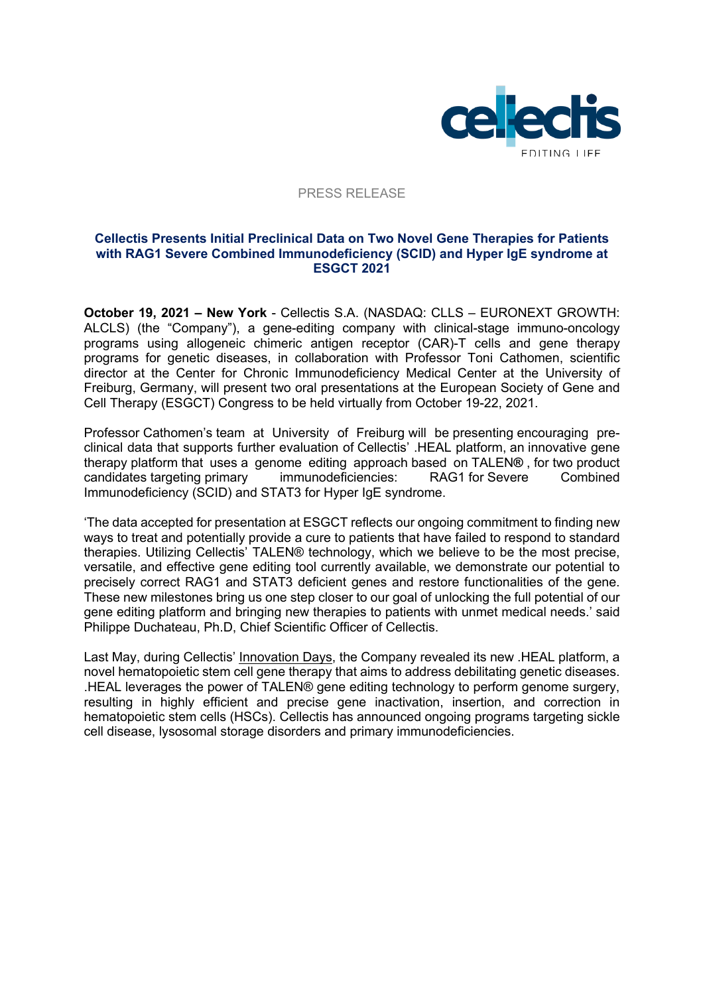

#### PRESS RELEASE

#### **Cellectis Presents Initial Preclinical Data on Two Novel Gene Therapies for Patients with RAG1 Severe Combined Immunodeficiency (SCID) and Hyper IgE syndrome at ESGCT 2021**

**October 19, 2021 – New York** - Cellectis S.A. (NASDAQ: CLLS – EURONEXT GROWTH: ALCLS) (the "Company"), a gene-editing company with clinical-stage immuno-oncology programs using allogeneic chimeric antigen receptor (CAR)-T cells and gene therapy programs for genetic diseases, in collaboration with Professor Toni Cathomen, scientific director at the Center for Chronic Immunodeficiency Medical Center at the University of Freiburg, Germany, will present two oral presentations at the European Society of Gene and Cell Therapy (ESGCT) Congress to be held virtually from October 19-22, 2021.

Professor Cathomen's team at University of Freiburg will be presenting encouraging preclinical data that supports further evaluation of Cellectis' .HEAL platform, an innovative gene therapy platform that uses a genome editing approach based on TALEN**®** , for two product candidates targeting primary immunodeficiencies: RAG1 for Severe Combined Immunodeficiency (SCID) and STAT3 for Hyper IgE syndrome.

'The data accepted for presentation at ESGCT reflects our ongoing commitment to finding new ways to treat and potentially provide a cure to patients that have failed to respond to standard therapies. Utilizing Cellectis' TALEN® technology, which we believe to be the most precise, versatile, and effective gene editing tool currently available, we demonstrate our potential to precisely correct RAG1 and STAT3 deficient genes and restore functionalities of the gene. These new milestones bring us one step closer to our goal of unlocking the full potential of our gene editing platform and bringing new therapies to patients with unmet medical needs.' said Philippe Duchateau, Ph.D, Chief Scientific Officer of Cellectis.

Last May, during Cellectis' Innovation Days, the Company revealed its new .HEAL platform, a novel hematopoietic stem cell gene therapy that aims to address debilitating genetic diseases. .HEAL leverages the power of TALEN® gene editing technology to perform genome surgery, resulting in highly efficient and precise gene inactivation, insertion, and correction in hematopoietic stem cells (HSCs). Cellectis has announced ongoing programs targeting sickle cell disease, lysosomal storage disorders and primary immunodeficiencies.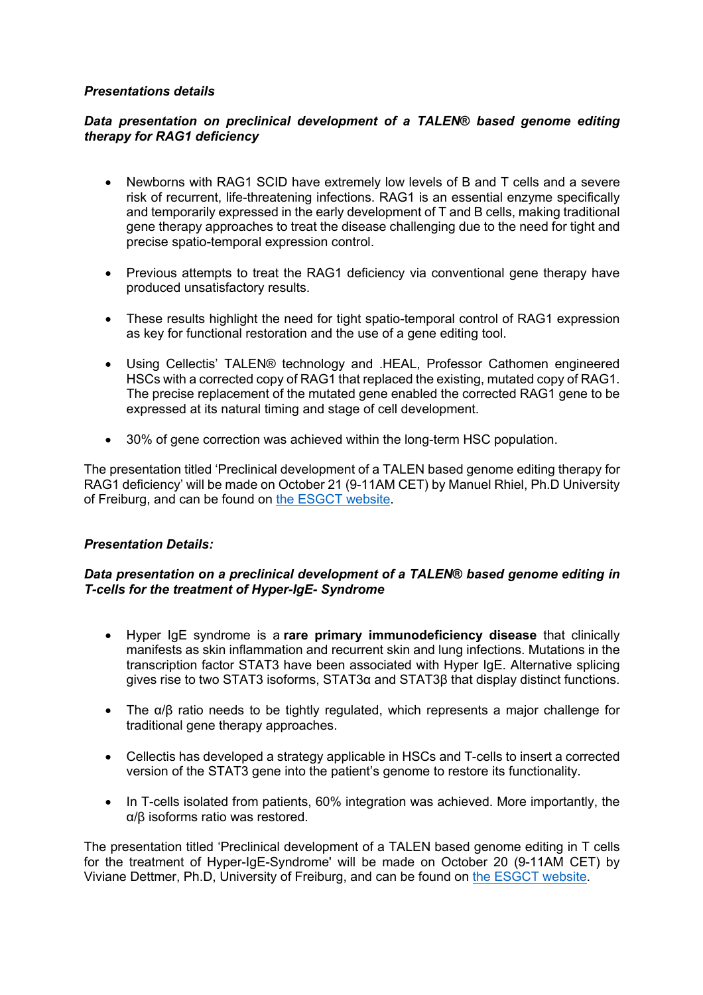## *Presentations details*

# *Data presentation on preclinical development of a TALEN***®** *based genome editing therapy for RAG1 deficiency*

- Newborns with RAG1 SCID have extremely low levels of B and T cells and a severe risk of recurrent, life-threatening infections. RAG1 is an essential enzyme specifically and temporarily expressed in the early development of T and B cells, making traditional gene therapy approaches to treat the disease challenging due to the need for tight and precise spatio-temporal expression control.
- Previous attempts to treat the RAG1 deficiency via conventional gene therapy have produced unsatisfactory results.
- These results highlight the need for tight spatio-temporal control of RAG1 expression as key for functional restoration and the use of a gene editing tool.
- Using Cellectis' TALEN® technology and .HEAL, Professor Cathomen engineered HSCs with a corrected copy of RAG1 that replaced the existing, mutated copy of RAG1. The precise replacement of the mutated gene enabled the corrected RAG1 gene to be expressed at its natural timing and stage of cell development.
- 30% of gene correction was achieved within the long-term HSC population.

The presentation titled 'Preclinical development of a TALEN based genome editing therapy for RAG1 deficiency' will be made on October 21 (9-11AM CET) by Manuel Rhiel, Ph.D University of Freiburg, and can be found on the ESGCT website.

## *Presentation Details:*

## *Data presentation on a preclinical development of a TALEN***®** *based genome editing in T-cells for the treatment of Hyper-IgE- Syndrome*

- Hyper IgE syndrome is a **rare primary immunodeficiency disease** that clinically manifests as skin inflammation and recurrent skin and lung infections. Mutations in the transcription factor STAT3 have been associated with Hyper IgE. Alternative splicing gives rise to two STAT3 isoforms, STAT3α and STAT3β that display distinct functions.
- The α/β ratio needs to be tightly regulated, which represents a major challenge for traditional gene therapy approaches.
- Cellectis has developed a strategy applicable in HSCs and T-cells to insert a corrected version of the STAT3 gene into the patient's genome to restore its functionality.
- In T-cells isolated from patients, 60% integration was achieved. More importantly, the α/β isoforms ratio was restored.

The presentation titled 'Preclinical development of a TALEN based genome editing in T cells for the treatment of Hyper-IgE-Syndrome' will be made on October 20 (9-11AM CET) by Viviane Dettmer, Ph.D, University of Freiburg, and can be found on the ESGCT website.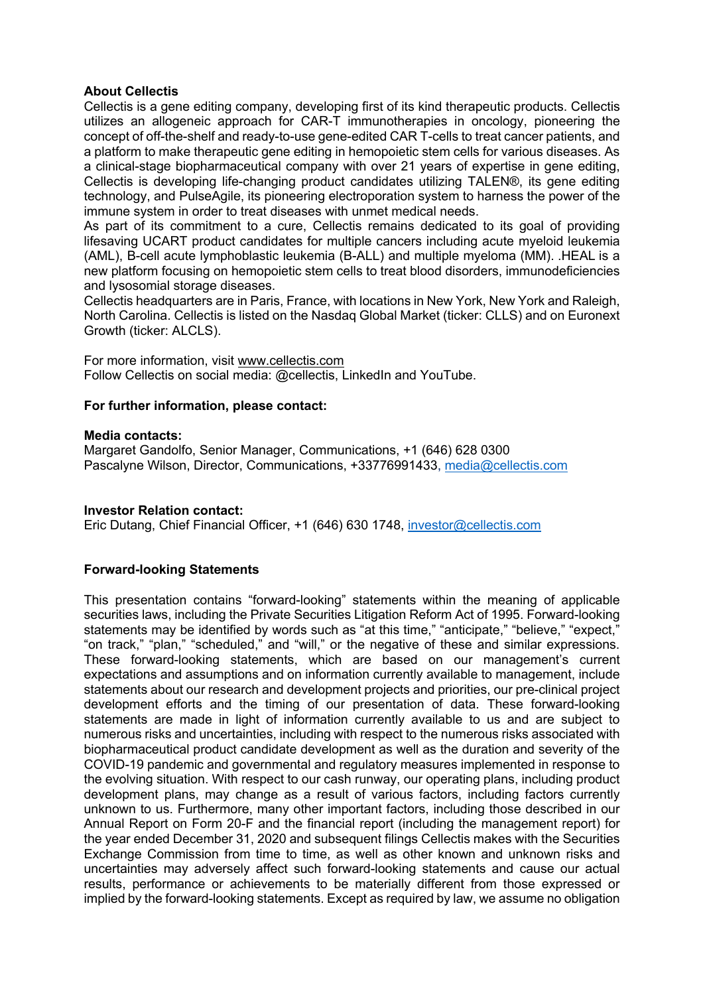## **About Cellectis**

Cellectis is a gene editing company, developing first of its kind therapeutic products. Cellectis utilizes an allogeneic approach for CAR-T immunotherapies in oncology, pioneering the concept of off-the-shelf and ready-to-use gene-edited CAR T-cells to treat cancer patients, and a platform to make therapeutic gene editing in hemopoietic stem cells for various diseases. As a clinical-stage biopharmaceutical company with over 21 years of expertise in gene editing, Cellectis is developing life-changing product candidates utilizing TALEN®, its gene editing technology, and PulseAgile, its pioneering electroporation system to harness the power of the immune system in order to treat diseases with unmet medical needs.

As part of its commitment to a cure, Cellectis remains dedicated to its goal of providing lifesaving UCART product candidates for multiple cancers including acute myeloid leukemia (AML), B-cell acute lymphoblastic leukemia (B-ALL) and multiple myeloma (MM). .HEAL is a new platform focusing on hemopoietic stem cells to treat blood disorders, immunodeficiencies and lysosomial storage diseases.

Cellectis headquarters are in Paris, France, with locations in New York, New York and Raleigh, North Carolina. Cellectis is listed on the Nasdaq Global Market (ticker: CLLS) and on Euronext Growth (ticker: ALCLS).

For more information, visit www.cellectis.com Follow Cellectis on social media: @cellectis, LinkedIn and YouTube.

## **For further information, please contact:**

## **Media contacts:**

Margaret Gandolfo, Senior Manager, Communications, +1 (646) 628 0300 Pascalyne Wilson, Director, Communications, +33776991433, media@cellectis.com

## **Investor Relation contact:**

Eric Dutang, Chief Financial Officer, +1 (646) 630 1748, investor@cellectis.com

## **Forward-looking Statements**

This presentation contains "forward-looking" statements within the meaning of applicable securities laws, including the Private Securities Litigation Reform Act of 1995. Forward-looking statements may be identified by words such as "at this time," "anticipate," "believe," "expect," "on track," "plan," "scheduled," and "will," or the negative of these and similar expressions. These forward-looking statements, which are based on our management's current expectations and assumptions and on information currently available to management, include statements about our research and development projects and priorities, our pre-clinical project development efforts and the timing of our presentation of data. These forward-looking statements are made in light of information currently available to us and are subject to numerous risks and uncertainties, including with respect to the numerous risks associated with biopharmaceutical product candidate development as well as the duration and severity of the COVID-19 pandemic and governmental and regulatory measures implemented in response to the evolving situation. With respect to our cash runway, our operating plans, including product development plans, may change as a result of various factors, including factors currently unknown to us. Furthermore, many other important factors, including those described in our Annual Report on Form 20-F and the financial report (including the management report) for the year ended December 31, 2020 and subsequent filings Cellectis makes with the Securities Exchange Commission from time to time, as well as other known and unknown risks and uncertainties may adversely affect such forward-looking statements and cause our actual results, performance or achievements to be materially different from those expressed or implied by the forward-looking statements. Except as required by law, we assume no obligation